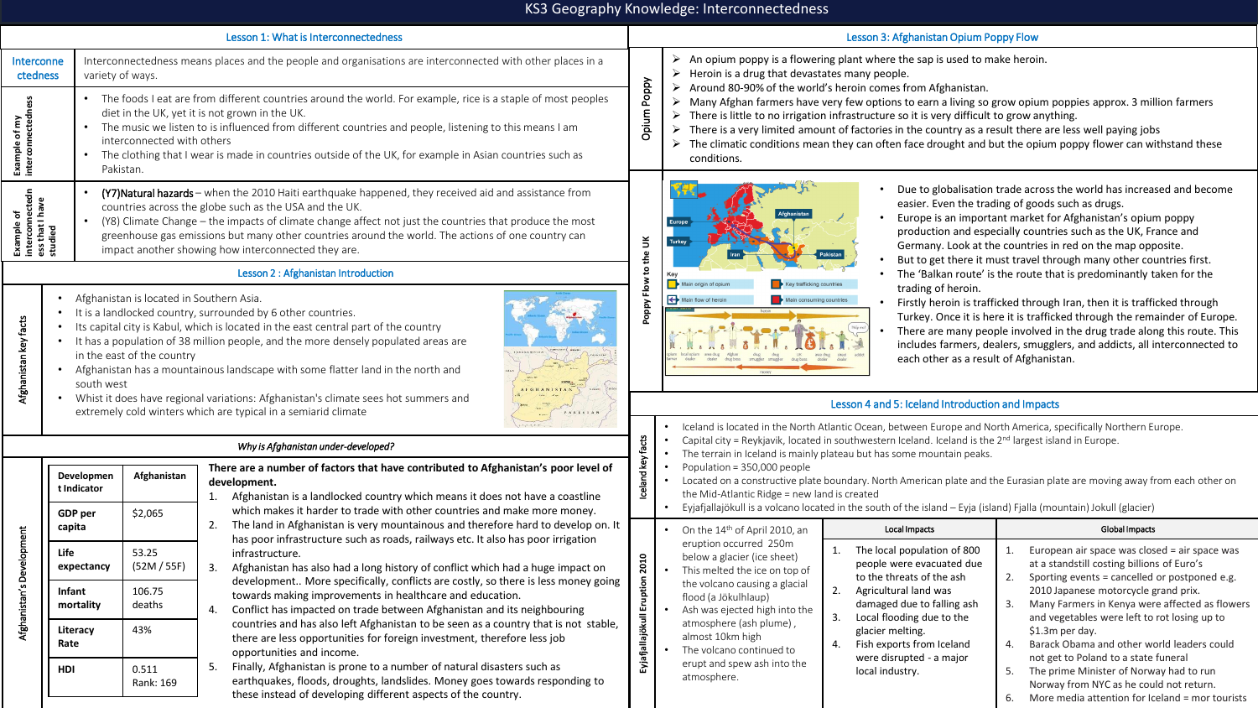## KS3 Geography Knowledge: Interconnectedness

| Lesson 1: What is Interconnectedness               |                                                                                                                                                                                                                                                                                                                                                                                                                                                                                                                                                                                                                                          |  |  |  |  |  |  |  |  |
|----------------------------------------------------|------------------------------------------------------------------------------------------------------------------------------------------------------------------------------------------------------------------------------------------------------------------------------------------------------------------------------------------------------------------------------------------------------------------------------------------------------------------------------------------------------------------------------------------------------------------------------------------------------------------------------------------|--|--|--|--|--|--|--|--|
| Interconne<br>ctedness                             | Interconnectedness means places and the people and organisations are interconnected with other places in a<br>variety of ways.                                                                                                                                                                                                                                                                                                                                                                                                                                                                                                           |  |  |  |  |  |  |  |  |
| interconnectedness<br>Example of my                | The foods I eat are from different countries around the world. For example, rice is a staple of most peoples<br>diet in the UK, yet it is not grown in the UK.<br>The music we listen to is influenced from different countries and people, listening to this means I am<br>interconnected with others<br>The clothing that I wear is made in countries outside of the UK, for example in Asian countries such as<br>Pakistan.                                                                                                                                                                                                           |  |  |  |  |  |  |  |  |
| interconnectedn<br>Nev I<br>Example of<br>ess that | (Y7) Natural hazards – when the 2010 Haiti earthquake happened, they received aid and assistance from<br>countries across the globe such as the USA and the UK.<br>(Y8) Climate Change – the impacts of climate change affect not just the countries that produce the most<br>$\bullet$<br>greenhouse gas emissions but many other countries around the world. The actions of one country can<br>impact another showing how interconnected they are.                                                                                                                                                                                     |  |  |  |  |  |  |  |  |
|                                                    | Lesson 2 : Afghanistan Introduction                                                                                                                                                                                                                                                                                                                                                                                                                                                                                                                                                                                                      |  |  |  |  |  |  |  |  |
| Afghanistan key facts                              | Afghanistan is located in Southern Asia.<br>٠<br>It is a landlocked country, surrounded by 6 other countries.<br>٠<br>Its capital city is Kabul, which is located in the east central part of the country<br>٠<br>It has a population of 38 million people, and the more densely populated areas are<br>٠<br><b>LIFE CRANEL</b><br>in the east of the country<br>Afghanistan has a mountainous landscape with some flatter land in the north and<br>٠<br>south west<br>Whist it does have regional variations: Afghanistan's climate sees hot summers and<br>$\bullet$<br>extremely cold winters which are typical in a semiarid climate |  |  |  |  |  |  |  |  |

Afghanistan's Development

Afghanistan's Development

**Developmen t Indicator**

**GDP per capita**

**Life expectancy**

**Infant mortality**

**Literacy Rate**

**HDI** 0.511

**Afghanistan**

\$2,065

53.25 (52M / 55F)

106.75 deaths

43%

Rank: 169

| Poppy<br>ε<br>Diur<br>Opius | ➤ | An opium poppy is a flowering plant where the sap is used to make heroin.<br>Heroin is a drug that devastates many people.<br>Around 80-90% of the world's heroin comes from Afghanistan.<br>Many Afghan farmers have very few options to earn a living so grow opium poppies approx. 3 million farmers<br>There is little to no irrigation infrastructure so it is very difficult to grow anything.<br>There is a very limited amount of factories in the country as a result there are less well paying jobs<br>The climatic conditions mean they can often face drought and but the opium poppy flower can withstand these |
|-----------------------------|---|-------------------------------------------------------------------------------------------------------------------------------------------------------------------------------------------------------------------------------------------------------------------------------------------------------------------------------------------------------------------------------------------------------------------------------------------------------------------------------------------------------------------------------------------------------------------------------------------------------------------------------|
|                             |   | conditions.                                                                                                                                                                                                                                                                                                                                                                                                                                                                                                                                                                                                                   |

Lesson 3: Afghanistan Opium Poppy Flow

| Poppy Flow to the UK | Afghanistan<br><b>Europe</b><br><b>Turkey</b><br>Pakistan<br>Iran<br>Key<br>Key trafficking countries<br>Main origin of opium<br>Main flow of heroin<br>Main consuming countries                                               |
|----------------------|--------------------------------------------------------------------------------------------------------------------------------------------------------------------------------------------------------------------------------|
|                      | heroin                                                                                                                                                                                                                         |
|                      | Help me!<br>ð<br>local opium<br>Afghan<br>area drug<br>poium<br>drug<br><b>UK</b><br>addict<br>drug<br>area drug<br>street<br>dealer<br>dealer<br>farmer<br>drug boss<br>dealer<br>smuggler<br>drug boss<br>smuggler<br>dealer |
|                      | money                                                                                                                                                                                                                          |

- Due to globalisation trade across the world has increased and become easier. Even the trading of goods such as drugs.
- Europe is an important market for Afghanistan's opium poppy production and especially countries such as the UK, France and Germany. Look at the countries in red on the map opposite.
- But to get there it must travel through many other countries first.
- The 'Balkan route' is the route that is predominantly taken for the trading of heroin.
- Firstly heroin is trafficked through Iran, then it is trafficked through Turkey. Once it is here it is trafficked through the remainder of Europe.
- There are many people involved in the drug trade along this route. This includes farmers, dealers, smugglers, and addicts, all interconnected to each other as a result of Afghanistan.

## Lesson 4 and 5: Iceland Introduction and Impacts

| Why is Afghanistan under-developed?<br>There are a number of factors that have contributed to Afghanistan's poor level of<br>development.<br>1. Afghanistan is a landlocked country which means it does not have a coastline<br>which makes it harder to trade with other countries and make more money. |  |  | Iceland is located in the North Atlantic Ocean, between Europe and North America, specifically Northern Europe.<br>Capital city = Reykjavik, located in southwestern Iceland. Iceland is the $2nd$ largest island in Europe.<br>The terrain in Iceland is mainly plateau but has some mountain peaks.<br>Population = 350,000 people<br>Located on a constructive plate boundary. North American plate and the Eurasian plate are moving away from each other on<br>the Mid-Atlantic Ridge = new land is created<br>Eyjafjallajökull is a volcano located in the south of the island – Eyja (island) Fjalla (mountain) Jokull (glacier) |  |  |  |  |  |
|----------------------------------------------------------------------------------------------------------------------------------------------------------------------------------------------------------------------------------------------------------------------------------------------------------|--|--|-----------------------------------------------------------------------------------------------------------------------------------------------------------------------------------------------------------------------------------------------------------------------------------------------------------------------------------------------------------------------------------------------------------------------------------------------------------------------------------------------------------------------------------------------------------------------------------------------------------------------------------------|--|--|--|--|--|
|                                                                                                                                                                                                                                                                                                          |  |  |                                                                                                                                                                                                                                                                                                                                                                                                                                                                                                                                                                                                                                         |  |  |  |  |  |